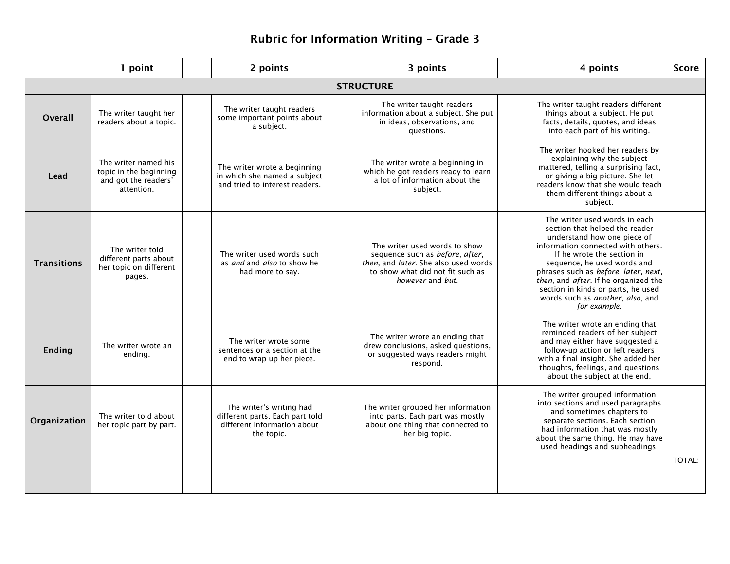## **Rubric for Information Writing – Grade 3**

|                    | 1 point                                                                              |  | 2 points                                                                                                 |  | 3 points                                                                                                                                                         |  | 4 points                                                                                                                                                                                                                                                                                                                                                                            | <b>Score</b> |  |  |
|--------------------|--------------------------------------------------------------------------------------|--|----------------------------------------------------------------------------------------------------------|--|------------------------------------------------------------------------------------------------------------------------------------------------------------------|--|-------------------------------------------------------------------------------------------------------------------------------------------------------------------------------------------------------------------------------------------------------------------------------------------------------------------------------------------------------------------------------------|--------------|--|--|
| <b>STRUCTURE</b>   |                                                                                      |  |                                                                                                          |  |                                                                                                                                                                  |  |                                                                                                                                                                                                                                                                                                                                                                                     |              |  |  |
| Overall            | The writer taught her<br>readers about a topic.                                      |  | The writer taught readers<br>some important points about<br>a subject.                                   |  | The writer taught readers<br>information about a subject. She put<br>in ideas, observations, and<br>questions.                                                   |  | The writer taught readers different<br>things about a subject. He put<br>facts, details, quotes, and ideas<br>into each part of his writing.                                                                                                                                                                                                                                        |              |  |  |
| Lead               | The writer named his<br>topic in the beginning<br>and got the readers'<br>attention. |  | The writer wrote a beginning<br>in which she named a subject<br>and tried to interest readers.           |  | The writer wrote a beginning in<br>which he got readers ready to learn<br>a lot of information about the<br>subject.                                             |  | The writer hooked her readers by<br>explaining why the subject<br>mattered, telling a surprising fact,<br>or giving a big picture. She let<br>readers know that she would teach<br>them different things about a<br>subject.                                                                                                                                                        |              |  |  |
| <b>Transitions</b> | The writer told<br>different parts about<br>her topic on different<br>pages.         |  | The writer used words such<br>as <i>and</i> and <i>also</i> to show he<br>had more to say.               |  | The writer used words to show<br>sequence such as before, after,<br>then, and later. She also used words<br>to show what did not fit such as<br>however and but. |  | The writer used words in each<br>section that helped the reader<br>understand how one piece of<br>information connected with others.<br>If he wrote the section in<br>sequence, he used words and<br>phrases such as before, later, next,<br>then, and after. If he organized the<br>section in kinds or parts, he used<br>words such as <i>another</i> , also, and<br>for example. |              |  |  |
| <b>Ending</b>      | The writer wrote an<br>ending.                                                       |  | The writer wrote some<br>sentences or a section at the<br>end to wrap up her piece.                      |  | The writer wrote an ending that<br>drew conclusions, asked questions,<br>or suggested ways readers might<br>respond.                                             |  | The writer wrote an ending that<br>reminded readers of her subject<br>and may either have suggested a<br>follow-up action or left readers<br>with a final insight. She added her<br>thoughts, feelings, and questions<br>about the subject at the end.                                                                                                                              |              |  |  |
| Organization       | The writer told about<br>her topic part by part.                                     |  | The writer's writing had<br>different parts. Each part told<br>different information about<br>the topic. |  | The writer grouped her information<br>into parts. Each part was mostly<br>about one thing that connected to<br>her big topic.                                    |  | The writer grouped information<br>into sections and used paragraphs<br>and sometimes chapters to<br>separate sections. Each section<br>had information that was mostly<br>about the same thing. He may have<br>used headings and subheadings.                                                                                                                                       |              |  |  |
|                    |                                                                                      |  |                                                                                                          |  |                                                                                                                                                                  |  |                                                                                                                                                                                                                                                                                                                                                                                     | TOTAL:       |  |  |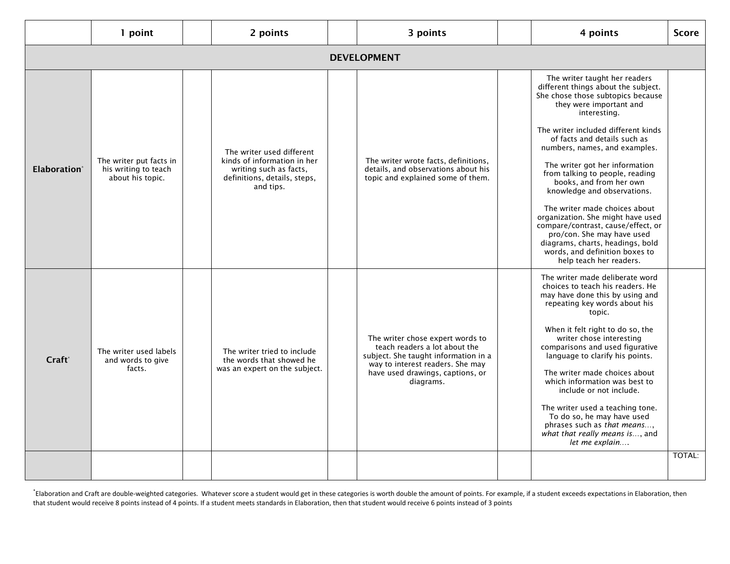|                          | 1 point                                                             |  | 2 points                                                                                                                        |  | 3 points                                                                                                                                                                                       |  | 4 points                                                                                                                                                                                                                                                                                                                                                                                                                                                                                                                                                                                                                               | <b>Score</b>  |
|--------------------------|---------------------------------------------------------------------|--|---------------------------------------------------------------------------------------------------------------------------------|--|------------------------------------------------------------------------------------------------------------------------------------------------------------------------------------------------|--|----------------------------------------------------------------------------------------------------------------------------------------------------------------------------------------------------------------------------------------------------------------------------------------------------------------------------------------------------------------------------------------------------------------------------------------------------------------------------------------------------------------------------------------------------------------------------------------------------------------------------------------|---------------|
| <b>DEVELOPMENT</b>       |                                                                     |  |                                                                                                                                 |  |                                                                                                                                                                                                |  |                                                                                                                                                                                                                                                                                                                                                                                                                                                                                                                                                                                                                                        |               |
| Elaboration <sup>®</sup> | The writer put facts in<br>his writing to teach<br>about his topic. |  | The writer used different<br>kinds of information in her<br>writing such as facts.<br>definitions, details, steps,<br>and tips. |  | The writer wrote facts, definitions,<br>details, and observations about his<br>topic and explained some of them.                                                                               |  | The writer taught her readers<br>different things about the subject.<br>She chose those subtopics because<br>they were important and<br>interesting.<br>The writer included different kinds<br>of facts and details such as<br>numbers, names, and examples.<br>The writer got her information<br>from talking to people, reading<br>books, and from her own<br>knowledge and observations.<br>The writer made choices about<br>organization. She might have used<br>compare/contrast, cause/effect, or<br>pro/con. She may have used<br>diagrams, charts, headings, bold<br>words, and definition boxes to<br>help teach her readers. |               |
| Craft <sup>®</sup>       | The writer used labels<br>and words to give<br>facts.               |  | The writer tried to include<br>the words that showed he<br>was an expert on the subject.                                        |  | The writer chose expert words to<br>teach readers a lot about the<br>subject. She taught information in a<br>way to interest readers. She may<br>have used drawings, captions, or<br>diagrams. |  | The writer made deliberate word<br>choices to teach his readers. He<br>may have done this by using and<br>repeating key words about his<br>topic.<br>When it felt right to do so, the<br>writer chose interesting<br>comparisons and used figurative<br>language to clarify his points.<br>The writer made choices about<br>which information was best to<br>include or not include.<br>The writer used a teaching tone.<br>To do so, he may have used<br>phrases such as that means<br>what that really means is, and<br>let me explain                                                                                               |               |
|                          |                                                                     |  |                                                                                                                                 |  |                                                                                                                                                                                                |  |                                                                                                                                                                                                                                                                                                                                                                                                                                                                                                                                                                                                                                        | <b>TOTAL:</b> |

\* Elaboration and Craft are double-weighted categories. Whatever score a student would get in these categories is worth double the amount of points. For example, if a student exceeds expectations in Elaboration, then that student would receive 8 points instead of 4 points. If a student meets standards in Elaboration, then that student would receive 6 points instead of 3 points